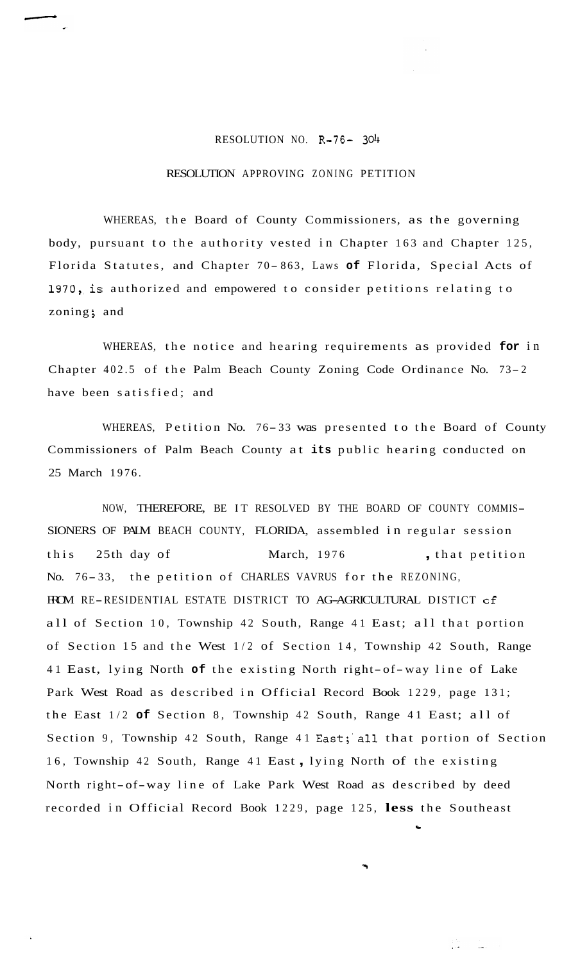## RESOLUTION NO. R-76-

## RESOLUTION APPROVING ZONING PETITION

WHEREAS, the Board of County Commissioners, as the governing body, pursuant to the authority vested in Chapter 163 and Chapter 125, Florida Statutes, and Chapter 70-863, Laws of Florida, Special Acts of 1970, is authorized and empowered to consider petitions relating to zoning; and

WHEREAS, the notice and hearing requirements as provided **for** in Chapter 402.5 of the Palm Beach County Zoning Code Ordinance No. 73- <sup>2</sup> have been satisfied; and

WHEREAS, Petition No. 76-33 was presented to the Board of County Commissioners of Palm Beach County at **its** public hearing conducted on 25 March 1976.

NOW, THEREFORE, BE IT RESOLVED BY THE BOARD OF COUNTY COMMIS-SIONERS OF PALM BEACH COUNTY, FLORIDA, assembled in regular session this 25th day of March, 1976 , that petition No. 76- 33, the petition of CHARLES VAVRUS for the REZONING, FROM RE-RESIDENTIAL ESTATE DISTRICT TO AG-AGRICULTURAL DISTICT of all of Section 10, Township 42 South, Range 41 East; all that portion of Section 15 and the West 1/2 of Section 14, Township 42 South, Range 41 East, lying North **of** the existing North right-of-way line of Lake Park West Road as described in Official Record Book 1229, page 131; the East 1/2 **of** Section 8, Township 42 South, Range 41 East; all of Section 9, Township 42 South, Range 41 East;'all that portion of Section 16, Township 42 South, Range 41 East , lying North of the existing North right-of-way line of Lake Park West Road as described by deed recorded in Official Record Book 1229, page 125, **less** the Southeast

**c**